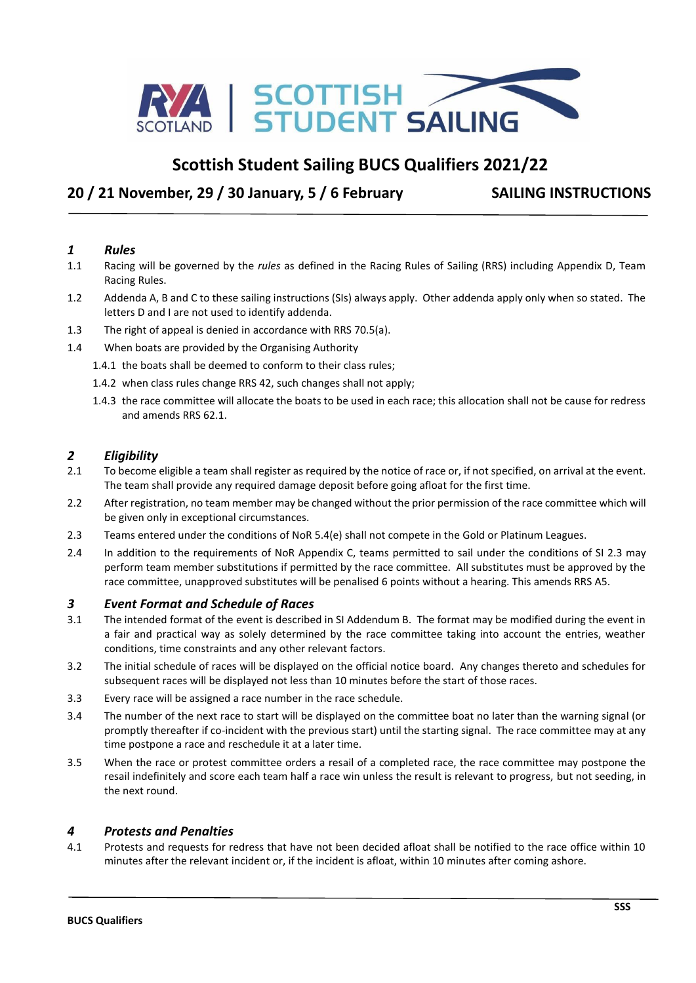

## **Scottish Student Sailing BUCS Qualifiers 2021/22**

## **20 / 21 November, 29 / 30 January, 5 / 6 February SAILING INSTRUCTIONS**

#### *1 Rules*

- 1.1 Racing will be governed by the *rules* as defined in the Racing Rules of Sailing (RRS) including Appendix D, Team Racing Rules.
- 1.2 Addenda A, B and C to these sailing instructions (SIs) always apply. Other addenda apply only when so stated. The letters D and I are not used to identify addenda.
- 1.3 The right of appeal is denied in accordance with RRS 70.5(a).
- 1.4 When boats are provided by the Organising Authority
	- 1.4.1 the boats shall be deemed to conform to their class rules;
	- 1.4.2 when class rules change RRS 42, such changes shall not apply;
	- 1.4.3 the race committee will allocate the boats to be used in each race; this allocation shall not be cause for redress and amends RRS 62.1.

#### *2 Eligibility*

- 2.1 To become eligible a team shall register as required by the notice of race or, if not specified, on arrival at the event. The team shall provide any required damage deposit before going afloat for the first time.
- 2.2 After registration, no team member may be changed without the prior permission of the race committee which will be given only in exceptional circumstances.
- 2.3 Teams entered under the conditions of NoR 5.4(e) shall not compete in the Gold or Platinum Leagues.
- 2.4 In addition to the requirements of NoR Appendix C, teams permitted to sail under the conditions of SI 2.3 may perform team member substitutions if permitted by the race committee. All substitutes must be approved by the race committee, unapproved substitutes will be penalised 6 points without a hearing. This amends RRS A5.

#### *3 Event Format and Schedule of Races*

- 3.1 The intended format of the event is described in SI Addendum B. The format may be modified during the event in a fair and practical way as solely determined by the race committee taking into account the entries, weather conditions, time constraints and any other relevant factors.
- 3.2 The initial schedule of races will be displayed on the official notice board. Any changes thereto and schedules for subsequent races will be displayed not less than 10 minutes before the start of those races.
- 3.3 Every race will be assigned a race number in the race schedule.
- 3.4 The number of the next race to start will be displayed on the committee boat no later than the warning signal (or promptly thereafter if co-incident with the previous start) until the starting signal. The race committee may at any time postpone a race and reschedule it at a later time.
- 3.5 When the race or protest committee orders a resail of a completed race, the race committee may postpone the resail indefinitely and score each team half a race win unless the result is relevant to progress, but not seeding, in the next round.

#### *4 Protests and Penalties*

4.1 Protests and requests for redress that have not been decided afloat shall be notified to the race office within 10 minutes after the relevant incident or, if the incident is afloat, within 10 minutes after coming ashore.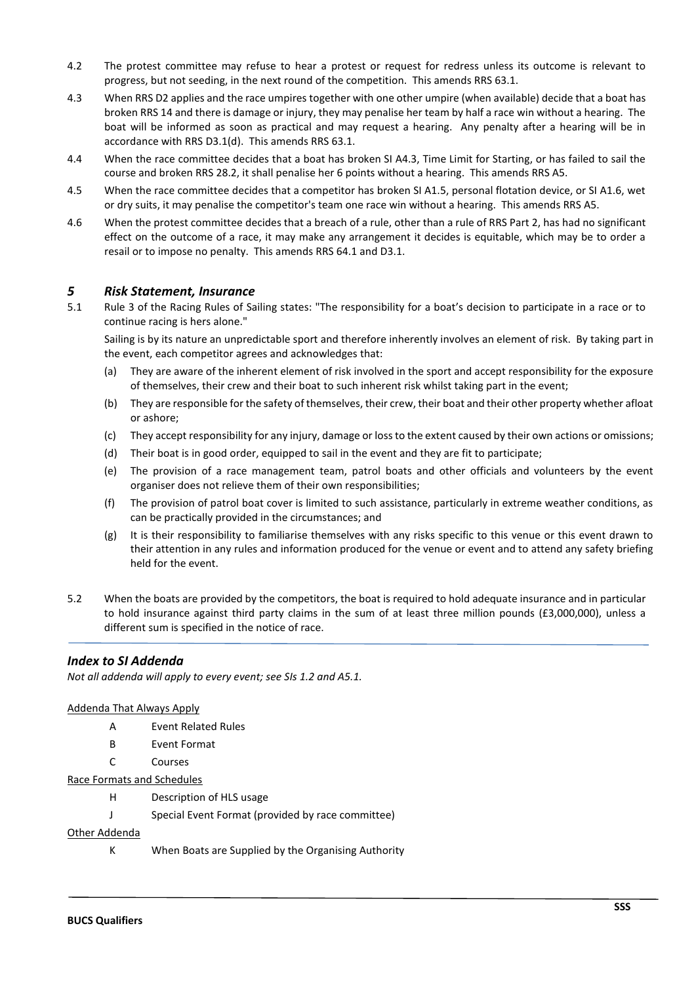- 4.2 The protest committee may refuse to hear a protest or request for redress unless its outcome is relevant to progress, but not seeding, in the next round of the competition. This amends RRS 63.1.
- 4.3 When RRS D2 applies and the race umpires together with one other umpire (when available) decide that a boat has broken RRS 14 and there is damage or injury, they may penalise her team by half a race win without a hearing. The boat will be informed as soon as practical and may request a hearing. Any penalty after a hearing will be in accordance with RRS D3.1(d). This amends RRS 63.1.
- 4.4 When the race committee decides that a boat has broken SI A4.3, Time Limit for Starting, or has failed to sail the course and broken RRS 28.2, it shall penalise her 6 points without a hearing. This amends RRS A5.
- 4.5 When the race committee decides that a competitor has broken SI A1.5, personal flotation device, or SI A1.6, wet or dry suits, it may penalise the competitor's team one race win without a hearing. This amends RRS A5.
- 4.6 When the protest committee decides that a breach of a rule, other than a rule of RRS Part 2, has had no significant effect on the outcome of a race, it may make any arrangement it decides is equitable, which may be to order a resail or to impose no penalty. This amends RRS 64.1 and D3.1.

#### *5 Risk Statement, Insurance*

5.1 Rule 3 of the Racing Rules of Sailing states: "The responsibility for a boat's decision to participate in a race or to continue racing is hers alone."

Sailing is by its nature an unpredictable sport and therefore inherently involves an element of risk. By taking part in the event, each competitor agrees and acknowledges that:

- (a) They are aware of the inherent element of risk involved in the sport and accept responsibility for the exposure of themselves, their crew and their boat to such inherent risk whilst taking part in the event;
- (b) They are responsible for the safety of themselves, their crew, their boat and their other property whether afloat or ashore;
- (c) They accept responsibility for any injury, damage or loss to the extent caused by their own actions or omissions;
- (d) Their boat is in good order, equipped to sail in the event and they are fit to participate;
- (e) The provision of a race management team, patrol boats and other officials and volunteers by the event organiser does not relieve them of their own responsibilities;
- (f) The provision of patrol boat cover is limited to such assistance, particularly in extreme weather conditions, as can be practically provided in the circumstances; and
- (g) It is their responsibility to familiarise themselves with any risks specific to this venue or this event drawn to their attention in any rules and information produced for the venue or event and to attend any safety briefing held for the event.
- 5.2 When the boats are provided by the competitors, the boat is required to hold adequate insurance and in particular to hold insurance against third party claims in the sum of at least three million pounds (£3,000,000), unless a different sum is specified in the notice of race.

#### *Index to SI Addenda*

*Not all addenda will apply to every event; see SIs 1.2 and A5.1.*

#### Addenda That Always Apply

- A Event Related Rules
- B Event Format
- C Courses

#### Race Formats and Schedules

- H Description of HLS usage
- J Special Event Format (provided by race committee)

#### Other Addenda

K When Boats are Supplied by the Organising Authority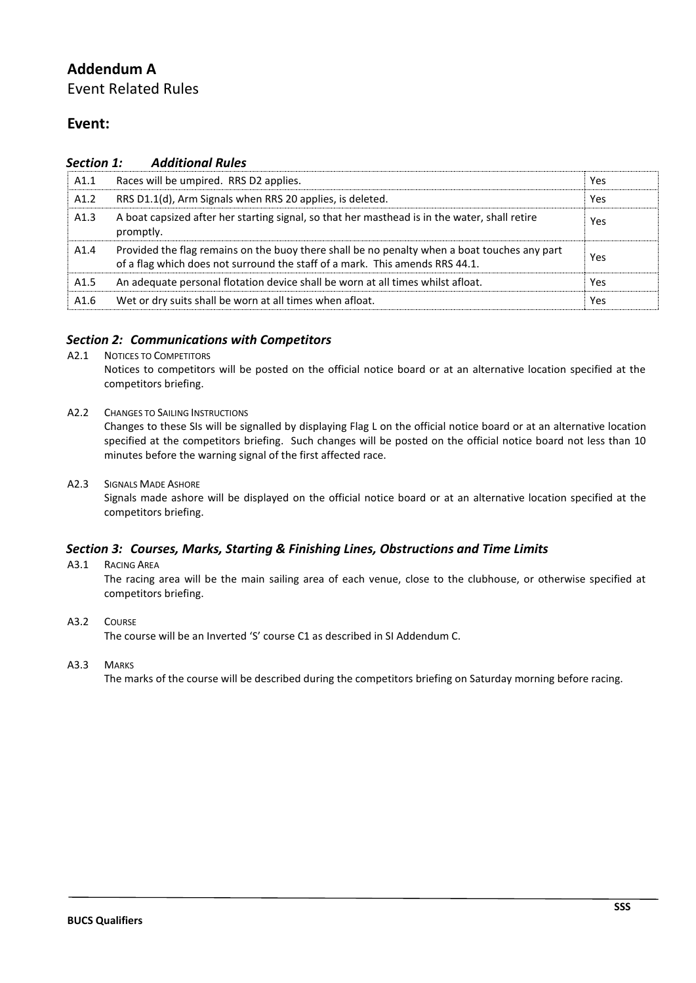## **Addendum A**

Event Related Rules

## **Event:**

| Section 1:       | <b>Additional Rules</b>                                                                                                                                                      |     |
|------------------|------------------------------------------------------------------------------------------------------------------------------------------------------------------------------|-----|
| A1.1             | Races will be umpired. RRS D2 applies.                                                                                                                                       | Yes |
| A1.2             | RRS D1.1(d), Arm Signals when RRS 20 applies, is deleted.                                                                                                                    | Yes |
| A1.3             | A boat capsized after her starting signal, so that her masthead is in the water, shall retire<br>promptly.                                                                   | Yes |
| A1.4             | Provided the flag remains on the buoy there shall be no penalty when a boat touches any part<br>of a flag which does not surround the staff of a mark. This amends RRS 44.1. | Yes |
| A <sub>1.5</sub> | An adequate personal flotation device shall be worn at all times whilst afloat.                                                                                              | Yes |
| A1.6             | Wet or dry suits shall be worn at all times when afloat.                                                                                                                     | Yes |

#### *Section 2: Communications with Competitors*

A2.1 NOTICES TO COMPETITORS

Notices to competitors will be posted on the official notice board or at an alternative location specified at the competitors briefing.

A2.2 CHANGES TO SAILING INSTRUCTIONS

Changes to these SIs will be signalled by displaying Flag L on the official notice board or at an alternative location specified at the competitors briefing. Such changes will be posted on the official notice board not less than 10 minutes before the warning signal of the first affected race.

A2.3 SIGNALS MADE ASHORE

Signals made ashore will be displayed on the official notice board or at an alternative location specified at the competitors briefing.

### *Section 3: Courses, Marks, Starting & Finishing Lines, Obstructions and Time Limits*

A3.1 RACING AREA

The racing area will be the main sailing area of each venue, close to the clubhouse, or otherwise specified at competitors briefing.

A3.2 COURSE

The course will be an Inverted 'S' course C1 as described in SI Addendum C.

A3.3 MARKS

The marks of the course will be described during the competitors briefing on Saturday morning before racing.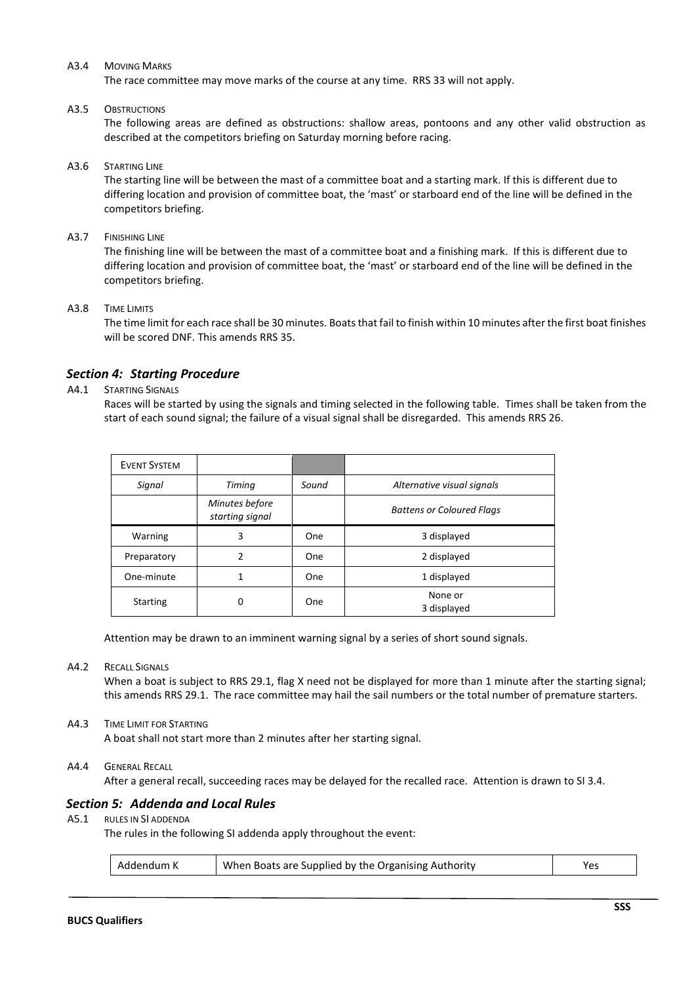#### A3.4 MOVING MARKS

The race committee may move marks of the course at any time. RRS 33 will not apply.

#### A3.5 OBSTRUCTIONS

The following areas are defined as obstructions: shallow areas, pontoons and any other valid obstruction as described at the competitors briefing on Saturday morning before racing.

#### A3.6 STARTING LINE

The starting line will be between the mast of a committee boat and a starting mark. If this is different due to differing location and provision of committee boat, the 'mast' or starboard end of the line will be defined in the competitors briefing.

#### A3.7 FINISHING LINE

The finishing line will be between the mast of a committee boat and a finishing mark. If this is different due to differing location and provision of committee boat, the 'mast' or starboard end of the line will be defined in the competitors briefing.

#### A3.8 TIME LIMITS

The time limit for each race shall be 30 minutes. Boats that fail to finish within 10 minutes after the first boat finishes will be scored DNF. This amends RRS 35.

#### *Section 4: Starting Procedure*

#### A4.1 STARTING SIGNALS

Races will be started by using the signals and timing selected in the following table. Times shall be taken from the start of each sound signal; the failure of a visual signal shall be disregarded. This amends RRS 26.

| <b>EVENT SYSTEM</b> |                                   |            |                                  |  |
|---------------------|-----------------------------------|------------|----------------------------------|--|
| Signal              | Timing                            | Sound      | Alternative visual signals       |  |
|                     | Minutes before<br>starting signal |            | <b>Battens or Coloured Flags</b> |  |
| Warning             | 3                                 | <b>One</b> | 3 displayed                      |  |
| Preparatory         | 2                                 | One        | 2 displayed                      |  |
| One-minute          |                                   | One        | 1 displayed                      |  |
| <b>Starting</b>     | O                                 | <b>One</b> | None or<br>3 displayed           |  |

Attention may be drawn to an imminent warning signal by a series of short sound signals.

#### A4.2 RECALL SIGNALS

When a boat is subject to RRS 29.1, flag X need not be displayed for more than 1 minute after the starting signal; this amends RRS 29.1. The race committee may hail the sail numbers or the total number of premature starters.

#### A4.3 TIME LIMIT FOR STARTING

A boat shall not start more than 2 minutes after her starting signal.

#### A4.4 GENERAL RECALL

After a general recall, succeeding races may be delayed for the recalled race. Attention is drawn to SI 3.4.

#### *Section 5: Addenda and Local Rules*

#### A5.1 RULES IN SI ADDENDA

The rules in the following SI addenda apply throughout the event:

| Addendum K | When Boats are Supplied by the Organising Authority | Yes |
|------------|-----------------------------------------------------|-----|
|------------|-----------------------------------------------------|-----|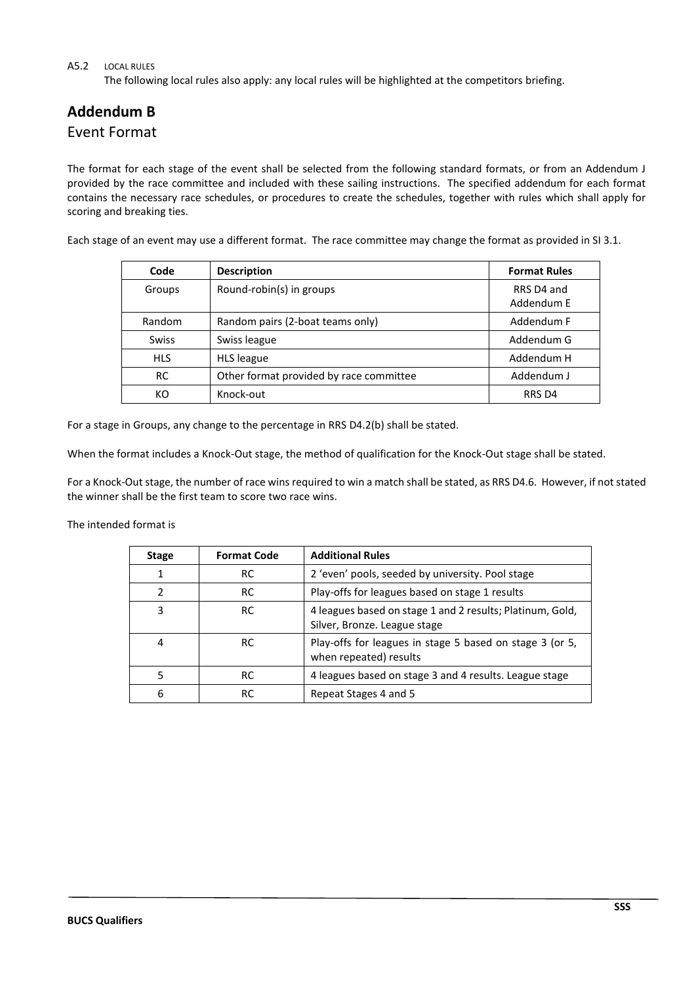#### A5.2 LOCAL RULES

The following local rules also apply: any local rules will be highlighted at the competitors briefing.

# **Addendum B**

## Event Format

The format for each stage of the event shall be selected from the following standard formats, or from an Addendum J provided by the race committee and included with these sailing instructions. The specified addendum for each format contains the necessary race schedules, or procedures to create the schedules, together with rules which shall apply for scoring and breaking ties.

Each stage of an event may use a different format. The race committee may change the format as provided in SI 3.1.

| Code         | <b>Description</b>                      | <b>Format Rules</b>      |
|--------------|-----------------------------------------|--------------------------|
| Groups       | Round-robin(s) in groups                | RRS D4 and<br>Addendum E |
| Random       | Random pairs (2-boat teams only)        | Addendum F               |
| <b>Swiss</b> | Swiss league                            | Addendum G               |
| <b>HLS</b>   | <b>HLS</b> league                       | Addendum H               |
| <b>RC</b>    | Other format provided by race committee | Addendum J               |
| КO           | Knock-out                               | RRS D4                   |

For a stage in Groups, any change to the percentage in RRS D4.2(b) shall be stated.

When the format includes a Knock-Out stage, the method of qualification for the Knock-Out stage shall be stated.

For a Knock-Out stage, the number of race wins required to win a match shall be stated, as RRS D4.6. However, if not stated the winner shall be the first team to score two race wins.

The intended format is

| <b>Stage</b>  | <b>Format Code</b> | <b>Additional Rules</b>                                                                   |
|---------------|--------------------|-------------------------------------------------------------------------------------------|
| 1             | RC                 | 2 'even' pools, seeded by university. Pool stage                                          |
| $\mathcal{P}$ | RC                 | Play-offs for leagues based on stage 1 results                                            |
| 3             | RC                 | 4 leagues based on stage 1 and 2 results; Platinum, Gold,<br>Silver, Bronze. League stage |
| 4             | <b>RC</b>          | Play-offs for leagues in stage 5 based on stage 3 (or 5,<br>when repeated) results        |
| 5             | RC                 | 4 leagues based on stage 3 and 4 results. League stage                                    |
| 6             | RC                 | Repeat Stages 4 and 5                                                                     |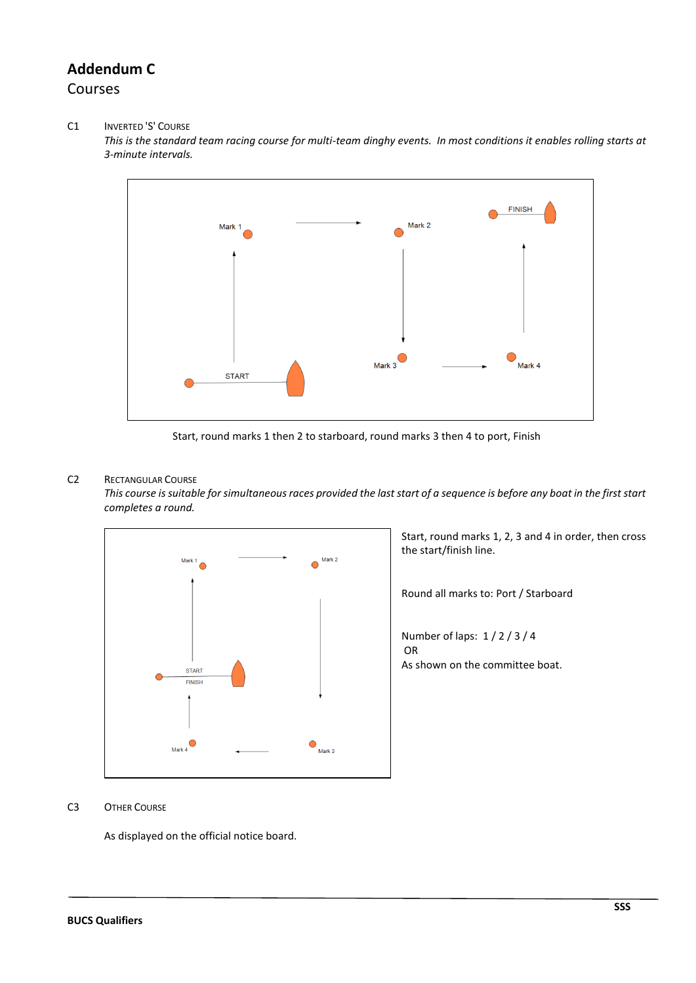## **Addendum C** Courses

#### C1 INVERTED 'S' COURSE

*This is the standard team racing course for multi-team dinghy events. In most conditions it enables rolling starts at 3-minute intervals.*



Start, round marks 1 then 2 to starboard, round marks 3 then 4 to port, Finish

#### C2 RECTANGULAR COURSE

*This course is suitable for simultaneous races provided the last start of a sequence is before any boat in the first start completes a round.*



Start, round marks 1, 2, 3 and 4 in order, then cross the start/finish line.

Round all marks to: Port / Starboard

Number of laps: 1 / 2 / 3 / 4 OR As shown on the committee boat.

#### C3 OTHER COURSE

As displayed on the official notice board.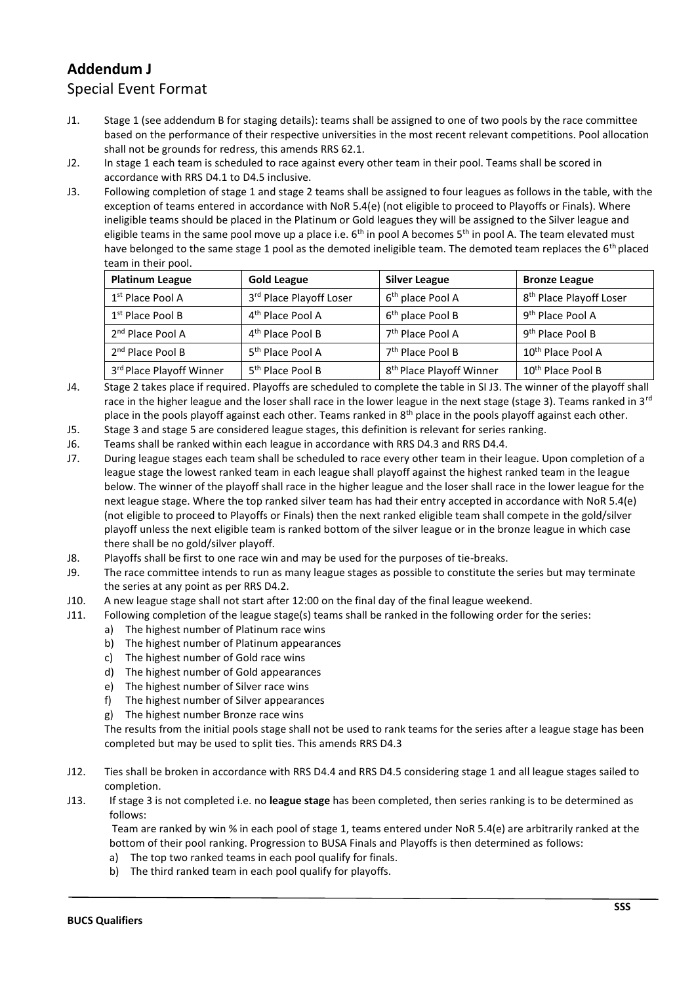## **Addendum J**

## Special Event Format

- J1. Stage 1 (see addendum B for staging details): teams shall be assigned to one of two pools by the race committee based on the performance of their respective universities in the most recent relevant competitions. Pool allocation shall not be grounds for redress, this amends RRS 62.1.
- J2. In stage 1 each team is scheduled to race against every other team in their pool. Teams shall be scored in accordance with RRS D4.1 to D4.5 inclusive.
- J3. Following completion of stage 1 and stage 2 teams shall be assigned to four leagues as follows in the table, with the exception of teams entered in accordance with NoR 5.4(e) (not eligible to proceed to Playoffs or Finals). Where ineligible teams should be placed in the Platinum or Gold leagues they will be assigned to the Silver league and eligible teams in the same pool move up a place i.e. 6<sup>th</sup> in pool A becomes 5<sup>th</sup> in pool A. The team elevated must have belonged to the same stage 1 pool as the demoted ineligible team. The demoted team replaces the 6<sup>th</sup> placed team in their pool.

| <b>Platinum League</b>       | <b>Gold League</b>           | <b>Silver League</b>                 | <b>Bronze League</b>                |
|------------------------------|------------------------------|--------------------------------------|-------------------------------------|
| 1 <sup>st</sup> Place Pool A | 3rd Place Playoff Loser      | 6 <sup>th</sup> place Pool A         | 8 <sup>th</sup> Place Playoff Loser |
| $1st$ Place Pool B           | 4 <sup>th</sup> Place Pool A | 6 <sup>th</sup> place Pool B         | 9 <sup>th</sup> Place Pool A        |
| 2 <sup>nd</sup> Place Pool A | 4 <sup>th</sup> Place Pool B | 7 <sup>th</sup> Place Pool A         | 9 <sup>th</sup> Place Pool B        |
| 2 <sup>nd</sup> Place Pool B | 5 <sup>th</sup> Place Pool A | 7 <sup>th</sup> Place Pool B         | 10 <sup>th</sup> Place Pool A       |
| 3rd Place Playoff Winner     | 5 <sup>th</sup> Place Pool B | 8 <sup>th</sup> Place Playoff Winner | 10 <sup>th</sup> Place Pool B       |

- J4. Stage 2 takes place if required. Playoffs are scheduled to complete the table in SI J3. The winner of the playoff shall race in the higher league and the loser shall race in the lower league in the next stage (stage 3). Teams ranked in 3<sup>rd</sup> place in the pools playoff against each other. Teams ranked in  $8<sup>th</sup>$  place in the pools playoff against each other.
- J5. Stage 3 and stage 5 are considered league stages, this definition is relevant for series ranking.
- J6. Teams shall be ranked within each league in accordance with RRS D4.3 and RRS D4.4.
- J7. During league stages each team shall be scheduled to race every other team in their league. Upon completion of a league stage the lowest ranked team in each league shall playoff against the highest ranked team in the league below. The winner of the playoff shall race in the higher league and the loser shall race in the lower league for the next league stage. Where the top ranked silver team has had their entry accepted in accordance with NoR 5.4(e) (not eligible to proceed to Playoffs or Finals) then the next ranked eligible team shall compete in the gold/silver playoff unless the next eligible team is ranked bottom of the silver league or in the bronze league in which case there shall be no gold/silver playoff.
- J8. Playoffs shall be first to one race win and may be used for the purposes of tie-breaks.
- J9. The race committee intends to run as many league stages as possible to constitute the series but may terminate the series at any point as per RRS D4.2.
- J10. A new league stage shall not start after 12:00 on the final day of the final league weekend.
- J11. Following completion of the league stage(s) teams shall be ranked in the following order for the series:
	- a) The highest number of Platinum race wins
	- b) The highest number of Platinum appearances
	- c) The highest number of Gold race wins
	- d) The highest number of Gold appearances
	- e) The highest number of Silver race wins
	- f) The highest number of Silver appearances
	- g) The highest number Bronze race wins

The results from the initial pools stage shall not be used to rank teams for the series after a league stage has been completed but may be used to split ties. This amends RRS D4.3

- J12. Ties shall be broken in accordance with RRS D4.4 and RRS D4.5 considering stage 1 and all league stages sailed to completion.
- J13. If stage 3 is not completed i.e. no **league stage** has been completed, then series ranking is to be determined as follows:

Team are ranked by win % in each pool of stage 1, teams entered under NoR 5.4(e) are arbitrarily ranked at the bottom of their pool ranking. Progression to BUSA Finals and Playoffs is then determined as follows:

- a) The top two ranked teams in each pool qualify for finals.
- b) The third ranked team in each pool qualify for playoffs.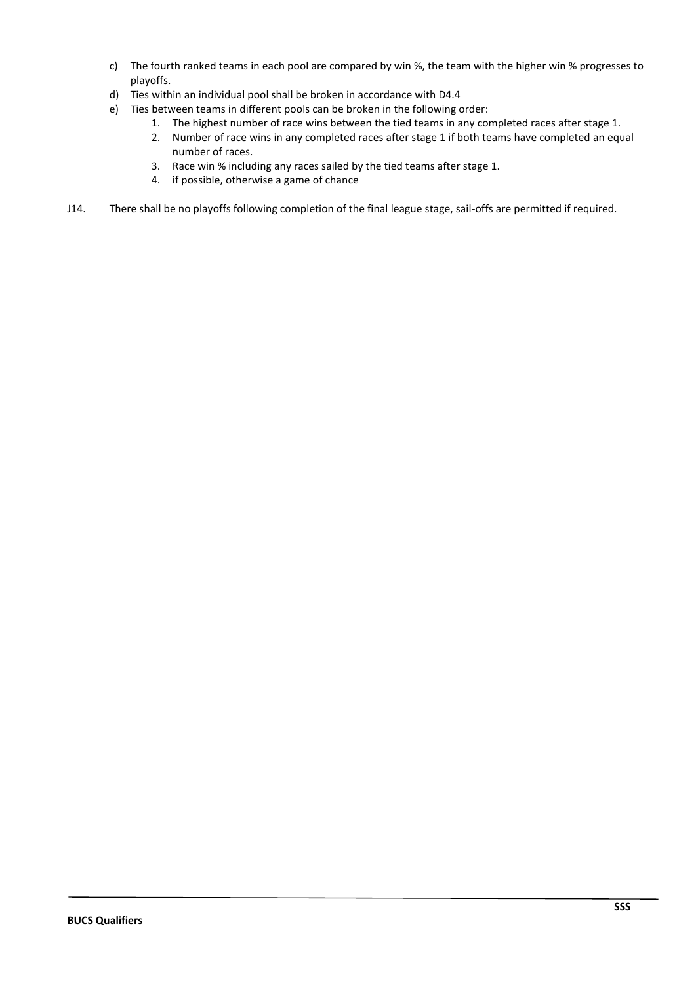- c) The fourth ranked teams in each pool are compared by win %, the team with the higher win % progresses to playoffs.
- d) Ties within an individual pool shall be broken in accordance with D4.4
- e) Ties between teams in different pools can be broken in the following order:
	- 1. The highest number of race wins between the tied teams in any completed races after stage 1.
	- 2. Number of race wins in any completed races after stage 1 if both teams have completed an equal number of races.
	- 3. Race win % including any races sailed by the tied teams after stage 1.
	- 4. if possible, otherwise a game of chance
- J14. There shall be no playoffs following completion of the final league stage, sail-offs are permitted if required.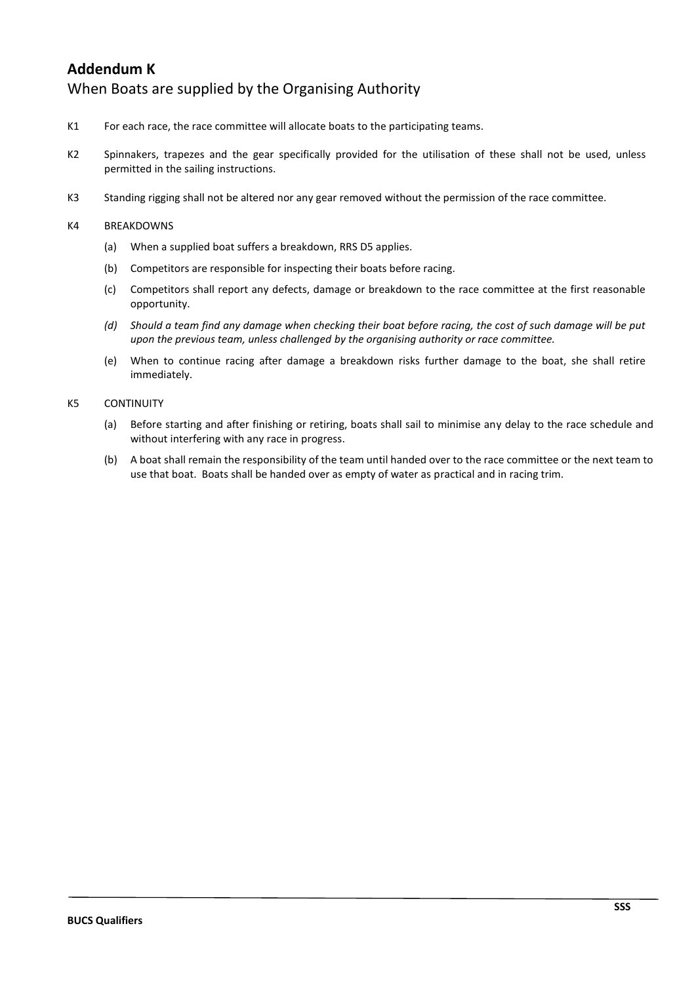## **Addendum K** When Boats are supplied by the Organising Authority

- K1 For each race, the race committee will allocate boats to the participating teams.
- K2 Spinnakers, trapezes and the gear specifically provided for the utilisation of these shall not be used, unless permitted in the sailing instructions.
- K3 Standing rigging shall not be altered nor any gear removed without the permission of the race committee.

#### K4 BREAKDOWNS

- (a) When a supplied boat suffers a breakdown, RRS D5 applies.
- (b) Competitors are responsible for inspecting their boats before racing.
- (c) Competitors shall report any defects, damage or breakdown to the race committee at the first reasonable opportunity.
- *(d) Should a team find any damage when checking their boat before racing, the cost of such damage will be put upon the previous team, unless challenged by the organising authority or race committee.*
- (e) When to continue racing after damage a breakdown risks further damage to the boat, she shall retire immediately.

#### K5 CONTINUITY

- (a) Before starting and after finishing or retiring, boats shall sail to minimise any delay to the race schedule and without interfering with any race in progress.
- (b) A boat shall remain the responsibility of the team until handed over to the race committee or the next team to use that boat. Boats shall be handed over as empty of water as practical and in racing trim.